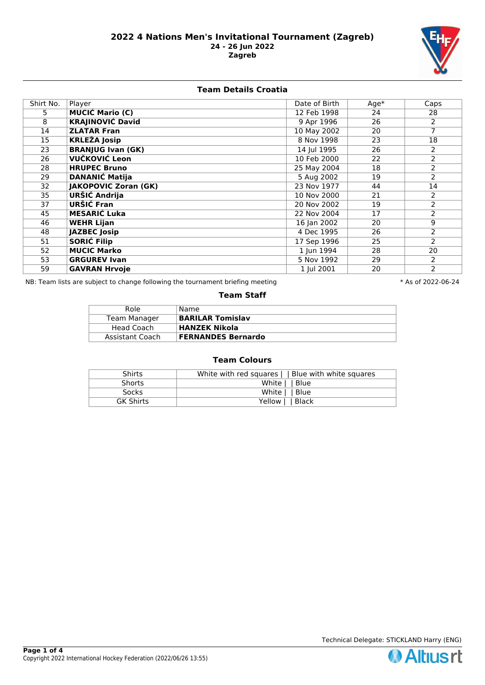

### **Team Details Croatia**

| Shirt No. | Player                      | Date of Birth | $Age*$ | Caps           |
|-----------|-----------------------------|---------------|--------|----------------|
| 5.        | <b>MUCIĆ Mario (C)</b>      | 12 Feb 1998   | 24     | 28             |
| 8         | <b>KRAJINOVIĆ David</b>     | 9 Apr 1996    | 26     | $\overline{2}$ |
| 14        | <b>ZLATAR Fran</b>          | 10 May 2002   | 20     | $\overline{7}$ |
| 15        | <b>KRLEŽA Josip</b>         | 8 Nov 1998    | 23     | 18             |
| 23        | <b>BRANJUG Ivan (GK)</b>    | 14 Jul 1995   | 26     | 2              |
| 26        | VUČKOVIĆ Leon               | 10 Feb 2000   | 22     | $\overline{2}$ |
| 28        | <b>HRUPEC Bruno</b>         | 25 May 2004   | 18     | 2              |
| 29        | <b>DANANIĆ Matija</b>       | 5 Aug 2002    | 19     | $\overline{2}$ |
| 32        | <b>JAKOPOVIC Zoran (GK)</b> | 23 Nov 1977   | 44     | 14             |
| 35        | <b>URŠIĆ Andrija</b>        | 10 Nov 2000   | 21     | 2              |
| 37        | URŠIĆ Fran                  | 20 Nov 2002   | 19     | $\overline{2}$ |
| 45        | <b>MESARIĆ Luka</b>         | 22 Nov 2004   | 17     | $\overline{2}$ |
| 46        | <b>WEHR Lijan</b>           | 16 Jan 2002   | 20     | $\overline{9}$ |
| 48        | <b>JAZBEC Josip</b>         | 4 Dec 1995    | 26     | $\overline{2}$ |
| 51        | <b>SORIĆ Filip</b>          | 17 Sep 1996   | 25     | $\overline{2}$ |
| 52        | <b>MUCIC Marko</b>          | 1 Jun 1994    | 28     | 20             |
| 53        | <b>GRGUREV Ivan</b>         | 5 Nov 1992    | 29     | $\overline{2}$ |
| 59        | <b>GAVRAN Hrvoje</b>        | 1 Jul 2001    | 20     | $\overline{2}$ |

NB: Team lists are subject to change following the tournament briefing meeting **the set of 2002-106-24** \* As of 2022-06-24

#### **Team Staff**

| Role            | Name                      |
|-----------------|---------------------------|
| Team Manager    | <b>BARILAR Tomislav</b>   |
| Head Coach      | HANZEK Nikola             |
| Assistant Coach | <b>FERNANDES Bernardo</b> |

# **Team Colours**

| <b>Shirts</b>    | White with red squares     Blue with white squares |
|------------------|----------------------------------------------------|
| <b>Shorts</b>    | White     Blue                                     |
| <b>Socks</b>     | White     Blue                                     |
| <b>GK Shirts</b> | Yellow     Black                                   |



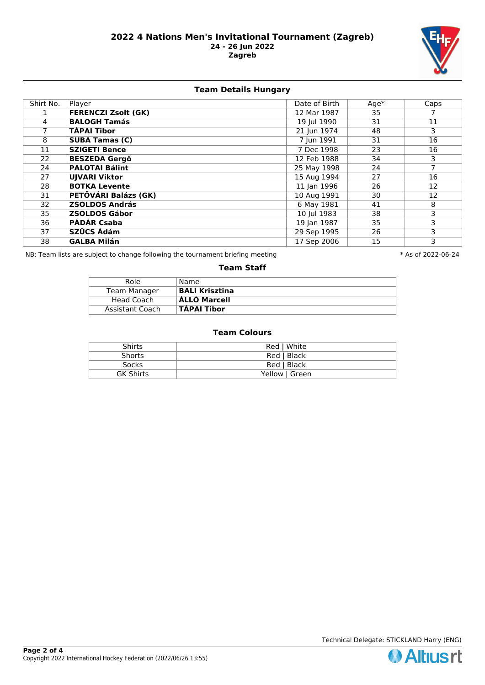

# **Team Details Hungary**

| Shirt No. | Player                     | Date of Birth | $Age*$ | Caps |
|-----------|----------------------------|---------------|--------|------|
|           | <b>FERENCZI Zsolt (GK)</b> | 12 Mar 1987   | 35     |      |
| 4         | <b>BALOGH Tamás</b>        | 19 Jul 1990   | 31     | 11   |
| 7         | <b>TÁPAI Tibor</b>         | 21 Jun 1974   | 48     | 3    |
| 8         | <b>SUBA Tamas (C)</b>      | 7 Jun 1991    | 31     | 16   |
| 11        | <b>SZIGETI Bence</b>       | 7 Dec 1998    | 23     | 16   |
| 22        | <b>BESZEDA Gergő</b>       | 12 Feb 1988   | 34     | 3    |
| 24        | <b>PALOTAI Bálint</b>      | 25 May 1998   | 24     | 7    |
| 27        | <b>UJVARI Viktor</b>       | 15 Aug 1994   | 27     | 16   |
| 28        | <b>BOTKA Levente</b>       | 11 Jan 1996   | 26     | 12   |
| 31        | PETŐVÁRI Balázs (GK)       | 10 Aug 1991   | 30     | 12   |
| 32        | <b>ZSOLDOS András</b>      | 6 May 1981    | 41     | 8    |
| 35        | <b>ZSOLDOS Gábor</b>       | 10 Jul 1983   | 38     | 3    |
| 36        | <b>PÁDÁR Csaba</b>         | 19 Jan 1987   | 35     | 3    |
| 37        | SZŰCS Ádám                 | 29 Sep 1995   | 26     | 3    |
| 38        | <b>GALBA Milán</b>         | 17 Sep 2006   | 15     | 3    |

NB: Team lists are subject to change following the tournament briefing meeting **the set of 2002-106-24** \* As of 2022-06-24

#### **Team Staff**

| Role            | Name                  |
|-----------------|-----------------------|
| Team Manager    | <b>BALI Krisztina</b> |
| Head Coach      | ÁLLÓ Marcell          |
| Assistant Coach | TÁPAI Tibor           |

## **Team Colours**

| <b>Shirts</b>    | Red   White    |
|------------------|----------------|
| <b>Shorts</b>    | Red   Black    |
| <b>Socks</b>     | Red   Black    |
| <b>GK Shirts</b> | Yellow   Green |

Technical Delegate: STICKLAND Harry (ENG)

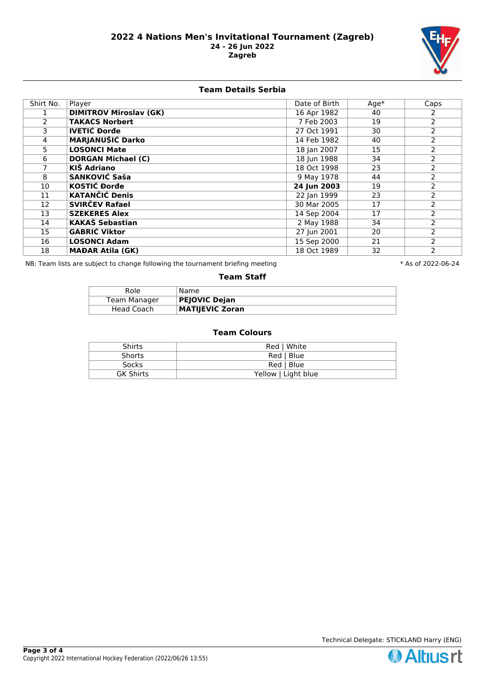

### **Team Details Serbia**

| Shirt No. | Player                        | Date of Birth | $Age*$ | Caps           |
|-----------|-------------------------------|---------------|--------|----------------|
|           | <b>DIMITROV Miroslav (GK)</b> | 16 Apr 1982   | 40     | 2              |
| 2         | <b>TAKACS Norbert</b>         | 7 Feb 2003    | 19     | $\overline{2}$ |
| 3.        | <b>IVETIĆ Đorđe</b>           | 27 Oct 1991   | 30     | $\overline{2}$ |
| 4         | <b>MARJANUŠIĆ Darko</b>       | 14 Feb 1982   | 40     | $\overline{2}$ |
| 5.        | <b>LOSONCI Mate</b>           | 18 Jan 2007   | 15     | 2              |
| 6         | <b>DORGAN Michael (C)</b>     | 18 Jun 1988   | 34     | $\overline{2}$ |
|           | <b>KIŠ Adriano</b>            | 18 Oct 1998   | 23     | 2              |
| 8         | <b>SANKOVIĆ Saša</b>          | 9 May 1978    | 44     | 2              |
| 10        | <b>KOSTIĆ Đorđe</b>           | 24 Jun 2003   | 19     | 2              |
| 11        | <b>KATANČIĆ Denis</b>         | 22 Jan 1999   | 23     | 2              |
| 12        | <b>SVIRČEV Rafael</b>         | 30 Mar 2005   | 17     | $\overline{2}$ |
| 13        | <b>SZEKERES Alex</b>          | 14 Sep 2004   | 17     | 2              |
| 14        | <b>KAKAŠ Sebastian</b>        | 2 May 1988    | 34     | $\overline{2}$ |
| 15        | <b>GABRIĆ Viktor</b>          | 27 Jun 2001   | 20     | 2              |
| 16        | <b>LOSONCI Adam</b>           | 15 Sep 2000   | 21     | 2              |
| 18        | <b>MAĐAR Atila (GK)</b>       | 18 Oct 1989   | 32     | 2              |

NB: Team lists are subject to change following the tournament briefing meeting **the set of 2002-106-24** \* As of 2022-06-24

#### **Team Staff**

| Role         | Name.                  |
|--------------|------------------------|
| Team Manager | <b>PEJOVIC Dejan</b>   |
| Head Coach   | <b>MATIJEVIC Zoran</b> |

## **Team Colours**

| <b>Shirts</b>    | Red   White         |
|------------------|---------------------|
| <b>Shorts</b>    | Red   Blue          |
| <b>Socks</b>     | Red   Blue          |
| <b>GK Shirts</b> | Yellow   Light blue |